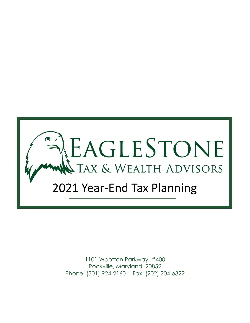

1101 Wootton Parkway, #400 Rockville, Maryland 20852 Phone: (301) 924-2160 | Fax: (202) 204-6322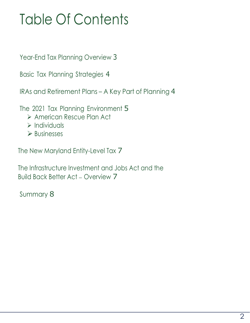# Table Of Contents

Year-End Tax Planning Overview 3

Basic Tax Planning Strategies 4

IRAs and Retirement Plans – A Key Part of Planning 4

The 2021 Tax Planning Environment 5

- ➢ American Rescue Plan Act
- ➢ Individuals
- ➢ Businesses

The New Maryland Entity-Level Tax 7

The Infrastructure Investment and Jobs Act and the Build Back Better Act – Overview 7

Summary 8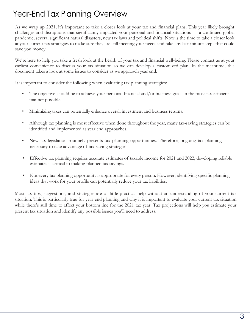# Year-End Tax Planning Overview

As we wrap up 2021, it's important to take a closer look at your tax and financial plans. This year likely brought challenges and disruptions that significantly impacted your personal and financial situations –– a continued global pandemic, several significant natural disasters, new tax laws and political shifts. Now is the time to take a closer look at your current tax strategies to make sure they are still meeting your needs and take any last-minute steps that could save you money.

We're here to help you take a fresh look at the health of your tax and financial well-being. Please contact us at your earliest convenience to discuss your tax situation so we can develop a customized plan. In the meantime, this document takes a look at some issues to consider as we approach year end.

It is important to consider the following when evaluating tax planning strategies:

- The objective should be to achieve your personal financial and/or business goals in the most tax-efficient manner possible.
- Minimizing taxes can potentially enhance overall investment and business returns.
- Although tax planning is most effective when done throughout the year, many tax-saving strategies can be identified and implemented as year end approaches.
- New tax legislation routinely presents tax planning opportunities. Therefore, ongoing tax planning is necessary to take advantage of tax-saving strategies.
- Effective tax planning requires accurate estimates of taxable income for 2021 and 2022; developing reliable estimates is critical to making planned tax savings.
- Not every tax planning opportunity is appropriate for every person. However, identifying specific planning ideas that work for your profile can potentially reduce your tax liabilities.

Most tax tips, suggestions, and strategies are of little practical help without an understanding of your current tax situation. This is particularly true for year-end planning and why it is important to evaluate your current tax situation while there's still time to affect your bottom line for the 2021 tax year. Tax projections will help you estimate your present tax situation and identify any possible issues you'll need to address.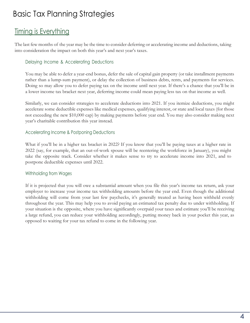# Basic Tax Planning Strategies

### Timing is Everything

The last few months of the year may be the time to consider deferring or accelerating income and deductions, taking into consideration the impact on both this year's and next year's taxes.

#### Delaying Income & Accelerating Deductions

You may be able to defer a year-end bonus, defer the sale of capital gain property (or take installment payments rather than a lump-sum payment), or delay the collection of business debts, rents, and payments for services. Doing so may allow you to defer paying tax on the income until next year. If there's a chance that you'll be in a lower income tax bracket next year, deferring income could mean paying less tax on that income as well.

Similarly, we can consider strategies to accelerate deductions into 2021. If you itemize deductions, you might accelerate some deductible expenses like medical expenses, qualifying interest, or state and local taxes (for those not exceeding the new \$10,000 cap) by making payments before year end. You may also consider making next year's charitable contribution this year instead.

#### Accelerating Income & Postponing Deductions

What if you'll be in a higher tax bracket in 2022? If you know that you'll be paying taxes at a higher rate in 2022 (say, for example, that an out-of-work spouse will be reentering the workforce in January), you might take the opposite track. Consider whether it makes sense to try to accelerate income into 2021, and to postpone deductible expenses until 2022.

#### Withholding from Wages

If it is projected that you will owe a substantial amount when you file this year's income tax return, ask your employer to increase your income tax withholding amounts before the year end. Even though the additional withholding will come from your last few paychecks, it's generally treated as having been withheld evenly throughout the year. This may help you to avoid paying an estimated tax penalty due to under withholding. If your situation is the opposite, where you have significantly overpaid your taxes and estimate you'll be receiving a large refund, you can reduce your withholding accordingly, putting money back in your pocket this year, as opposed to waiting for your tax refund to come in the following year.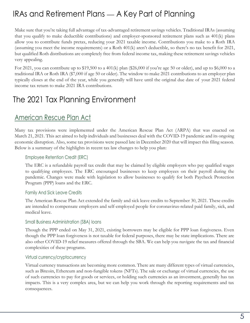# IRAs and Retirement Plans — A Key Part of Planning

Make sure that you're taking full advantage of tax-advantaged retirement savings vehicles. Traditional IRAs (assuming that you qualify to make deductible contributions) and employer-sponsored retirement plans such as 401(k) plans allow you to contribute funds pretax, reducing your 2021 taxable income. Contributions you make to a Roth IRA (assuming you meet the income requirements) or a Roth 401(k) aren't deductible, so there's no tax benefit for 2021, but qualified Roth distributions are completely free from federal income tax, making these retirement savings vehicles very appealing.

For 2021, you can contribute up to \$19,500 to a 401(k) plan (\$26,000 if you're age 50 or older), and up to \$6,000 to a traditional IRA or Roth IRA (\$7,000 if age 50 or older). The window to make 2021 contributions to an employer plan typically closes at the end of the year, while you generally will have until the original due date of your 2021 federal income tax return to make 2021 IRA contributions.

# The 2021 Tax Planning Environment

### American Rescue Plan Act

Many tax provisions were implemented under the American Rescue Plan Act (ARPA) that was enacted on March 21, 2021. This act aimed to help individuals and businesses deal with the COVID-19 pandemic and its ongoing economic disruption. Also, some tax provisions were passed late in December 2020 that will impact this filing season. Below is a summary of the highlights in recent tax law changes to help you plan:

#### Employee Retention Credit (ERC)

The ERC is a refundable payroll tax credit that may be claimed by eligible employers who pay qualified wages to qualifying employees. The ERC encouraged businesses to keep employees on their payroll during the pandemic. Changes were made with legislation to allow businesses to qualify for both Paycheck Protection Program (PPP) loans and the ERC.

#### Family And Sick Leave Credits

The American Rescue Plan Act extended the family and sick leave credits to September 30, 2021. These credits are intended to compensate employers and self-employed people for coronavirus-related paid family, sick, and medical leave.

#### Small Business Administration (SBA) loans

Though the PPP ended on May 31, 2021, existing borrowers may be eligible for PPP loan forgiveness. Even though the PPP loan forgiveness is not taxable for federal purposes, there may be state implications. There are also other COVID-19 relief measures offered through the SBA. We can help you navigate the tax and financial complexities of these programs.

#### Virtual currency/cryptocurrency

Virtual currency transactions are becoming more common. There are many different types of virtual currencies, such as Bitcoin, Ethereum and non-fungible tokens (NFTs). The sale or exchange of virtual currencies, the use of such currencies to pay for goods or services, or holding such currencies as an investment, generally has tax impacts. This is a very complex area, but we can help you work through the reporting requirements and tax consequences.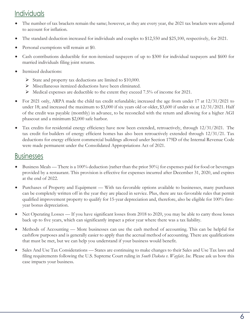### Individuals

- The number of tax brackets remain the same; however, as they are every year, the 2021 tax brackets were adjusted to account for inflation.
- The standard deduction increased for individuals and couples to \$12,550 and \$25,100, respectively, for 2021.
- Personal exemptions will remain at \$0.
- Cash contributions deductible for non-itemized taxpayers of up to \$300 for individual taxpayers and \$600 for married individuals filing joint returns.
- Itemized deductions:
	- ➢ State and property tax deductions are limited to \$10,000.
	- ➢ Miscellaneous itemized deductions have been eliminated.
	- ➢ Medical expenses are deductible to the extent they exceed 7.5% of income for 2021.
- For 2021 only, ARPA made the child tax credit refundable; increased the age from under 17 at  $12/31/2021$  to under 18; and increased the maximum to \$3,000 if six years old or older, \$3,600 if under six at 12/31/2021. Half of the credit was payable (monthly) in advance, to be reconciled with the return and allowing for a higher AGI phaseout and a minimum \$2,000 safe harbor.
- Tax credits for [residential energy efficiency](https://www.energystar.gov/about/federal_tax_credits/non_business_energy_property_tax_credits) have now been extended, retroactively, through 12/31/2021. The tax credit for [builders of energy efficient homes](https://www.energystar.gov/about/federal_tax_credits/federal_tax_credit_archives/tax_credits_home_builders) has also been retroactively extended through 12/31/21. Tax deductions for [energy efficient commercial buildings](https://www.energystar.gov/about/federal_tax_credits/federal_tax_credit_archive/tax_credits_commercial_buildings) allowed under Section 179D of the Internal Revenue Code were made permanent under the Consolidated Appropriations Act of 2021.

### **Businesses**

- Business Meals There is a 100% deduction (rather than the prior 50%) for expenses paid for food or beverages provided by a restaurant. This provision is effective for expenses incurred after December 31, 2020, and expires at the end of 2022.
- Purchases of Property and Equipment With tax-favorable options available to businesses, many purchases can be completely written off in the year they are placed in service. Plus, there are tax-favorable rules that permit qualified improvement property to qualify for 15-year depreciation and, therefore, also be eligible for 100% firstyear bonus depreciation.
- Net Operating Losses If you have significant losses from 2018 to 2020, you may be able to carry those losses back up to five years, which can significantly impact a prior year where there was a tax liability.
- Methods of Accounting More businesses can use the cash method of accounting. This can be helpful for cashflow purposes and is generally easier to apply than the accrual method of accounting. There are qualifications that must be met, but we can help you understand if your business would benefit.
- Sales And Use Tax Considerations States are continuing to make changes to their Sales and Use Tax laws and filing requirements following the U.S. Supreme Court ruling in *South Dakota v. Wayfair, Inc.* Please ask us how this case impacts your business.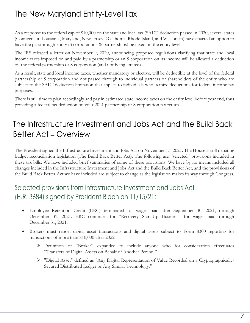# The New Maryland Entity-Level Tax

As a response to the federal cap of \$10,000 on the state and local tax (SALT) deduction passed in 2020, several states (Connecticut, Louisiana, Maryland, New Jersey, Oklahoma, Rhode Island, and Wisconsin) have enacted an option to have the passthrough entity (S corporations & partnerships) be taxed on the entity level.

The IRS released a letter on November 9, 2020, announcing proposed regulations clarifying that state and local income taxes imposed on and paid by a partnership or an S corporation on its income will be allowed a deduction on the federal partnership or S corporation (and not being limited).

As a result, state and local income taxes, whether mandatory or elective, will be deductible at the level of the federal partnership or S corporation and not passed through to individual partners or shareholders of the entity who are subject to the SALT deduction limitation that applies to individuals who itemize deductions for federal income tax purposes.

There is still time to plan accordingly and pay in estimated state income taxes on the entity level before year end, thus providing a federal tax deduction on your 2021 partnership or S corporation tax return.

# The Infrastructure Investment and Jobs Act and the Build Back Better Act – Overview

The President signed the Infrastructure Investment and Jobs Act on November 15, 2021. The House is still debating budget reconciliation legislation (The Build Back Better Act). The following are "selected" provisions included in these tax bills. We have included brief summaries of some of these provisions. We have by no means included all changes included in the Infrastructure Investment and Jobs Act and the Build Back Better Act, and the provisions of the Build Back Better Act we have included are subject to change as the legislation makes its way through Congress.

### Selected provisions from Infrastructure Investment and Jobs Act (H.R. 3684) signed by President Biden on 11/15/21:

- Employee Retention Credit (ERC) terminated for wages paid after September 30, 2021, through December 31, 2021. ERC continues for "Recovery Start-Up Business" for wages paid through December 31, 2021.
- Brokers must report digital asset transactions and digital assets subject to Form 8300 reporting for transactions of more than \$10,000 after 2022.
	- ➢ Definition of "Broker" expanded to include anyone who for consideration effectuates "Transfers of Digital Assets on Behalf of Another Person."
	- ➢ "Digital Asset" defined as "Any Digital Representation of Value Recorded on a Cryptographically-Secured Distributed Ledger or Any Similar Technology."